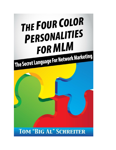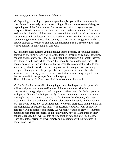#### *Four things you should know about this book.*

#1. Psychologist warning. If you are a psychologist, you will probably hate this book. It won't be entirely accurate according to Hippocrates or some of the great psychologists of the 20th century. But we are not trying to psychoanalyze prospects. We don't want to put them on a couch and counsel them. All we want to do is take a little bit of the science of personalities to help us talk in a way that our prospects will understand. For the academic purists reading this, we are not contradicting the cen- turies of personality studies. We are using just a tiny bit so that we can talk to prospects and they can understand us. No psychologists' jobs will be harmed in the reading of this book.

#2. Forget the rigid systems you might have learned before. If you have studied personality profiling before, you know the temper- aments: phlegmatic, sanguine, choleric and melancholic. Ugh. That is difficult to remember. So forget what you have learned in the past while reading this book. Sit back, relax and enjoy. This book is an easy-to-learn shortcut, so that we instantly know exactly what to say, and exactly what to do when we meet a prospect. It is not practical to survey a prospect's feelings, have the prospect fill out a questionnaire, ana- lyze the answers ... and then say your first words. We just need something to guide us so that we can talk in that prospect's natural language.

Think of this as the "lite" version of all those volumes of research.

#3. Don't take this personally. I am going to describe the personality types. You will naturally recognize yourself in one of the personalities. All of the personalities have good points and bad points. When I describe the bad points of each personality, don't take it personally. I don't want you to run me over in the parking lot the next time you see me. So for the next few chapters, relax. Just pretend that all of the bad points of your color personality apply to other people. #4. I am going to use a lot of exaggeration. Not every prospect is going to have all the exaggerated characteristics that I will describe. However, I will exaggerate because it will be easier to remember. All we really want is an easy-to-remember method to recognize prospects, and instantly know how to talk to them in their natural language. So I will use lots of exaggeration here and a few bad jokes. Don't take it too seriously. It will simply help us remember the differences in people more easily.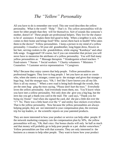## *The "Yellow" Personality*

All you have to do is remember one word. This one word describes the yellow personality. What is the word? "Help." That's it. The yellow personalities will do more for other people than they will for themselves. Sort of sounds like someone's mother, doesn't it? These people are professional helpers. They live for the chance to be of assistance. It makes them feel good to help. When a neighbor is sick, who comes to their home and brings food? Who nurses them back to health? Who takes them to the doctor? Yellow personalities. I keep a picture in my mind of a yellow personality. I visualize a 50-year-old grandmother, long hippie dress, flowers in her hair, serving cookies to the grandchildren, while singing "Kumbaya" and other folk songs. Exaggerated? Of course, but if you can remember that picture you will never have to memorize the attributes of a yellow personality. You will find many yellow personalities as: \* Massage therapists \* Kindergarten school teachers \* Fund-raisers \* Nurses \* Social workers \* Charity volunteers \* Ministers \* Counselors \* Customer service representatives \* Caregivers

Why? Because they enjoy careers that help people. Yellow personalities are professional huggers. They love to hug people. I bet you have an aunt or cousin who, when she meets a stranger, comes up to the stranger and gives that stranger a huge hug. And the stranger says, "Oh, I feel like I have known you all my life. Here is all my money." When a new road is being built through the woods, they are the ones hug- ging the trees saying, "Please don't hurt the trees." Everybody loves the yellow personality. And everybody trusts them, too. You'll know when you have met a yellow personality. Not only does she give you a big hug, but the next day you get a thank-you card in the mail. The card says, "Thank you for being my friend." And when she signed the card, did she put a little dot over the "i"? No. There was a little heart over the "i" and smiley face stickers everywhere. That is the yellow personality. Now because the yellow personalities are always helping people, they are not interested in your compensation plan, the overseas trip for top leaders, or the scientific reports on your patented products.

They are more interested in how your product or service can help other people. If the network marketing company cuts the compensation plan by 50%, the yellow personalities will say, "Oh, that's nice. Our bonus checks will only be half as much and that money will probably go to help poor people or a pet shelter somewhere." Yellow personalities are fine with that scenario. They are only interested in the business as a means to help other people. They want to know how your product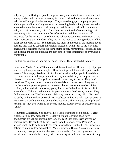helps stop the suffering of people in pain, how your product saves money so that young mothers will have more money for baby food, and how your skin care can help the self-image of a shy teenager. They are so happy just helping people. Yellow personalities make great network marketing leaders. People are naturally attracted to them because of their integrity, their honesty, their will- ingness to help, and their missionary spirit. Once they are convinced of some- thing, their missionary spirit overcomes their fear of rejection, and they be- come selfmotivated for their cause. You seldom see yellow personalities in the front of the room motivating the attendees. They are not the type to be giving orders or telling other people what to do. You normally see them in the back of the meeting room because they like to support the function instead of being seen as the star. They organize the registration, put out extra chairs, supply refreshments, and make sure the heating and air conditioning are kept at the proper temperature so everyone is comfortable.

But that does not mean they are not good leaders. They just lead differently.

Remember Mother Teresa? Remember Mahatma Gandhi? They were great people who led by their personal examples. They didn't preach their philosophies to the masses. They simply lived a dedicated life of service and people followed them. Everyone loves the yellow personalities. They are so friendly, so helpful, and so pleasant to be around. The yellow personalities are easy to notice. They don't overdress. They are more comfortable in sandals and casual wear. They are not out there to im- press people or to be seen as better than someone else. Softspoken, polite, and with a leisurely pace, they go with the flow of life and fit in everywhere. Yellows find it almost impossible to say "No" to any request. They find it easier to say "Yes" than to explain why they want to say "No." But don't be pushy with the yellow personalities. Just because they are soft- spoken doesn't mean you can bully them into doing what you want. They want to be helpful and serving, but they don't want to be bossed around. Even cartoon characters can be yellow.

Remember Cinderella? Yes, she was nice, kind, wanted to help people. A great example of a yellow personality. Usually the tooth fairy and good fairy godmothers are yellow personalities too. Many Disney princesses are yellow personalities. Remember Charlie Brown from the cartoon strip, *Peanuts*? He always want- ed to be helpful to everyone around him. But his friend, Lucy, was definitely not a yellow personality! Marge Simpson, Homer Simpson's wife, is certainly a yellow personality that you can remember. She puts up with all the mistakes and drama in her family with that cheery attitude, and just wants to help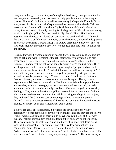everyone be happy. Homer Simpson's neighbor, Ned, is a yellow personality. He has that jovial personality and just wants to help people and make them happy. (Homer Simpson? No, he is not a yellow personality.) Casper the Friendly Ghost was yellow. In his cartoons, all Casper wanted to do was make friends. Yellows make the best friends. Oh, how about Big Bird from the children's television show, *Sesame Street*? Not only was Big Bird a bigger-than-life yellow personality, he also had bright yellow feathers. And finally, there's Elmo. This lovable *Sesame Street* character was loved by everyone. No one hated Elmo. (Although there is a rumor that fellow cast member, Oscar the Grouch, harbored a deep sense of jealousy over Elmo's popularity.) The yellow personality behavior. They're laid-back, mellow, they hate to say "No" to a request, and they tend to talk softer and slower.

Because they don't want to disappoint people, they smile, avoid conflict, and are easy to get along with. Remember though, their primary motivation is to help other people. Let's see if you can predict a yellow person's behavior in this example: Imagine that the yellow personality enters a large banquet room. There are large round tables, some with many happy, laughing people, and one table where a person sits by himself. At which table will the yellow personality sit? The table with only one person, of course. The yellow personality will put an arm around the lonely person and say, "You need a friend." Yellows are first to help, first to volunteer, and want to make sure everyone is happy. Have you ever experienced this? You sit down with a friend, and your friend brings you hot tea and cookies, offers to massage your neck because you look stressed, and asks about the health of your close family members. Yes, that is a yellow personality. Feelings? Yes, you can describe the yellow personalities as people with feelings who are focused more on relationships. While working on a big-picture project, they will work hard to make sure everyone gets along to move the project forward. This is in contrast to some of the other personalities that would measure production and set goals and standards for achievement.

Yellows are great at relationships. So what is the downside to the yellow personality? Some people look at yellow personalities and say they are indecisive, wishy- washy, can't make up their minds. Maybe we could look at it this way instead. Yellow personalities don't like forcing their opinions on other people. They want someone to make a decision and they will support that decision, as long as it is reasonable. For example, you get 12 yellow personalities in a conference room. One yel- low says, "Time for lunch." The next one says, "Where should we eat?" The next one says, "I will eat where you like to eat." The next one says, "I will eat where everybody else agrees to eat." The next one says,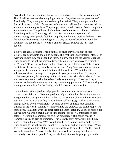"We should form a committee, but we are not autho- rized to form a committee." The 12 yellow personalities are going to starve! Do yellows make great leaders? Absolutely. They are a pleasure to their upline. Why? The yellow personality doesn't like to complain. If there are problems, the yellows don't want to criticize and moan about the problems. They simply want to help people. So no complaints are passed upline. The yellows gladly take care of their own problems, and their downline problems. They are good at this. Because they are patient and understanding, other people feel their empathy and love to work with them. Also, the yellows have no ego that will get in the way of their relationships with their downline. No ego means less conflict and less stress. Yellows are just nice people.

Yellows are great listeners. This is natural because they care about people. Yellows are dependable and oh-so-patient. This makes them great team players, as everyone knows they can depend on them. So how can I use the yellow language when talking to the yellow personalities? The only word you have to remember is: "Help." Now, you are fluent in the yellow language. Easy, wasn't it? If you can't think of what to say, simply throw the word "help" into your conversation, and you will communicate much better with the yellows. When talking to the yellows, consider focusing on these points in your pre- sentation: \* How your business opportunity helps young mothers to stay home with their babies. \* How your company has a charity that raises funds for the needy. \* How working at home saves the environment by reducing commuting pollution. \* How working at home gives more time for the family, to build stronger relationships.

\* How the nutritional product helps people save their livers from those evil pharmaceutical drugs. \* How the products help grandmothers by giving them the energy to take their grandchildren to the zoo. \* How the skin care helps teenagers get rid of their acne so that they have a better self-image, go back to their classes in high school, go on to university, become doctors, and help save starving children in the world. What is less important to the yellows. As polite people, we should only talk about what the other person is inter- ested in. So out of respect for the yellows, we won't spend a lot of time talking about: \* Compensation plan details. \* Winning a company trip as a top producer. \* Big bonus checks. \* Company sales and growth numbers. This is pretty easy. Now, why didn't they teach us this in high school? We would have been a lot more polite and effective when talking to the yellow per- sonality. Help, help, and help some more. When I do a live workshop, I ask all the yellow personalities to raise their hands. Then, I say to the attendees, "Look closely at all these yellows raising their hands. Everybody loves these people. They are the kindest, most helpful people on the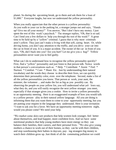planet. So during the upcoming break, go to them and ask them for a loan of \$1,000." Everyone laughs, but now we understand the yellow personality.

When you really appreciate that the other person is a yellow personality: As you walk to your car in the parking lot, a stranger jumps out and says, "Hands up! Give me all your money!" You answer, "But I don't have any money. I just spent the rest of this week's paycheck." The stranger replies, "Oh, that is so sad. Can I lend you a few dollars to help you through the rest of the week?" A great time to be held up by a "yellow" criminal. I guess that is why most criminals aren't yellow. They just can't make a living with that soft, caring heart. Or, while driving home, you don't pay attention to the traffic, and you drive your car into the car in front of you. It is a major accident. The owner of the car in front of you says, "Oh, did I back into you? Are you hurt? Let me give you a hug!" Yellow personalities never want you to feel guilty.

What can I do to understand how to recognize the yellow personality quickly? First, find a "yellow" personality and just listen to that person talk. Notice words in that person's conversations such as: \* Help \* Contribute \* Assist \* Feel \* Nurture \* Comfort \* Care \* Share Etc. Just by understanding their natural vocabulary and the words they choose to describe their lives, we can quickly determine their personality color, even over the telephone. Second, make a list of all the yellow personalities you know. That person at work, your aunt, the minister, the volunteer ... and make the list as big as you possibly can. By observing the people on your yellow list, you will understand what yel- lows say, what they do, and you will easily recognize the next yellow stranger you meet, especially if that stranger gives you a cookie. How to invite a yellow personality to an opportunity meeting. Here is an exaggerated example of how you would talk to a yellow person- ality in their natural yellow language. All you are doing is informing them that you want them to come to your opportunity meeting, but you are putting your request in the language they understand. Here is your invitation: "I want to ask you for a favor. We have an opportunity meeting tomorrow night, would you please come? We need your help.

"We market some skin-care products that help women look younger, feel better about themselves, and lead happier, more confident lives. And we have some nutritional products that help young mothers have more energy so they can balance their families, their careers, and their personal lives. "We also give young mothers a chance to work out of their homes, so they can be with their children, and stop warehousing their babies in daycare, pay- ing strangers big money to watch their children grow up. Just think of all the commuting pollution we could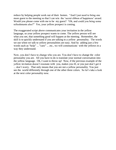reduce by helping people work out of their homes. "And I just need to bring one more guest to the meeting so that I can win the 'secret ribbon of happiness' award. Would you please come with me to be my guest? "Oh, and could you bring some refreshments also?" Yes, your yellow prospect is coming.

The exaggerated script above communicates your invitation in the yellow language, so your yellow prospect wants to come. The yellow person will see what you see, that something good will happen at the meeting. Remember, the skill is to quickly understand if you are talking to a yellow personality. The words we use when we talk to yellow personalities are easy. And by adding just a few words such as "help" ... "care" ... etc., we will communicate with the yellows in a way they understand.

Now, you don't have to change who you are. You don't have to change the color personality you are. All you have to do is translate your normal conversation into the yellow language. Oh, I want to throw up! Now, if the previous example of the yellow invitation doesn't resonate with you, makes you ill, or you just don't get it ... don't worry. That only means that you are not a yellow personality. You just see the world differently through one of the other three colors. So let's take a look at the next color personality now.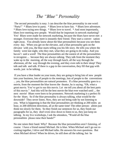## *The "Blue" Personality*

The second personality is easy. I can describe the blue personality in one word: "Party!" \* Blues love to party. \* Blues love to have fun. \* Blues love adventure. \* Blues love trying new things. \* Blues love to travel. \* And most importantly, blues love meeting new people. Would that be important in network marketing? Yes! Blues were made for network marketing, because the blues have never met a stranger. Everyone they meet is instantly their friend. They start a conver- sation right away. You already know about the blue personalities because you see them every day. When you get on the elevator, and a blue personality gets on the elevator with you, the blue starts telling you his life story. He tells you where the family went last night, who they met, what they are going to do today. And you haven't said a word! The blue personalities are the easiest of all the personalities to recognize ... because they are always talking. They talk from the moment they wake up in the morning, all the way through lunch, all the way through the afternoon, all the way through the evening, and they even talk in their sleep! They talk and talk and talk. If there is a gap in the conversation, they fill that gap with words, just to be talking.

If you have a blue leader on your team, they are going to bring lots of new people into your business, lots of people to the meetings, lots of people to the conventions ... yes, the blue personalities are natural promoters. If a blue personality goes to a movie, from the moment the blue leaves the theater, he is saying, "Oh, what a great movie. You've got to see this movie. Let me tell you about all the best parts of this movie." And this will be the best movie the blue ever watched until ... the next movie! Blues were born to be promoters. Network marketing is a perfect fit for the blues. So if the blue personality is always talking, what would be the downside? They never listen. Now, they are not being rude by not listening to you. What is happening is that the blue personalities are thinking at 200 miles an hour, in 200 different directions, all at the same time! The other person- alities just think too slowly for them. So they finish our sentences for us, they finish our paragraphs for us, they don't even slow down to listen to us, they just keep on talking. In my live workshops, I ask the attendees, "Would all the blue personalities please raise their hands?"

No one raises their hand. Why? Because the blue personalities aren't listening, of course. I have a friend named Michael. He is blue. When Michael and I go out recruiting together, I drive and Michael talks. He answers his own questions. But when Michael drives? When he drives, he still does all the talking, but he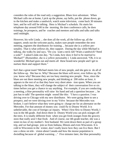considers the rules of the road only a suggestion. Blues love adventure. When Michael calls me at home, I pick up the phone, say hello, put the phone down, go to the kitchen and make a sandwich, watch some television, come back 30 minutes later, and he will still be talking. Here is Michael's schedule. He starts his telephone day around 9:00 in the morning. He does conference calls, he does trainings, he prospects, and he coaches and mentors and talks and talks and talks until midnight.

However, his wife Linda ... she does all the work, all the follow-up, all the support, sends out the welcome packs, makes sure people remember the next meeting, registers the distributors for training ... because she is a yellow personality. That is what yellows do, they support. During the day while Michael is talking, she walks by and says, "Do you want a neck rub? Want a sandwich? Need a soda?" I asked Linda one day, "So Linda, how does it feel to be married to Michael?" (Remember, she is a yellow personality.) Linda answered, "Oh, it is so wonderful. Michael goes out and meets all these brand-new people and I get to nurture them and support them."

Isn't that a great team? Michael meets lots of new people, and she gets to do all of the follow-up. She has to. Why? Because the blues will never, ever follow up. Do you know why? Because they are too busy meeting new people. Now, since the blues are out there meeting new people, and thinking at 200 miles an hour, it appears to the rest of us that they have very short atten- tion spans. When you are talking to the blues, they will change the subject of their conversation five or six times before you get a chance to say anything. For example, if you are conducting a meeting, a blue personality will raise his hand and ask a question because ... he just has to talk! The question might sound like this: "I have a question. I was driving over to Chicago with my new distributor. We were going there to see a prospect, and we were driving over in my Volvo because the Mercedes was broken. I can't believe what they were going to charge me for an alternator on the Mercedes. For that amount of money you could fly to Disney World. It is unbelievable, the cost of foreign car repairs. When I first flew to Disney World, I was in the 4th grade. And down there in Disney World you can pick oranges off the trees. It is totally different from when you get fresh oranges from the grocery store that really aren't that fresh. And of course, our 4th grade teacher, she was a sister-in-law of my mother's first husband. We went down there as part of a group trip, and we had groups join us from Indiana, Illinois and even Wisconsin. It is cold in Wisconsin in the winter, don't really know how they can live there. But I saw a show on tele- vision about Canada and how the moose population is dwindling because of global warming ..." Five minutes later, the blue personality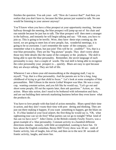finishes the question. You ask your- self, "How do I answer that?" And then you realize that you don't have to, because the blue person just wanted to talk. No one would be listening to your answer anyway!

You'll know when you have a blue prospect at your opportunity meeting, because halfway through the meeting, the blue prospect will jump up out of his chair and run outside because he just has to talk. The blue prospect will then meet a stranger in the hallway, and instantly he will begin talking and say: "Oh man, you have to join us. This is going to be terrific. Wow, they have these trips coming up, the travel, we are going to meet lots of new people, fun, wonderful meetings, it is going to be so awesome. I can't remember the name of the company, can't remember what it is about, but just join! This will be in- credible!" Yes, that is a true blue personality. They are the "big picture" people. They don't worry about those tiny little details like the name of the company or the products. The skill is being able to spot the blue personality. Remember, the secret language of each personality is easy. Just a couple of words. The real skill is being able to recognize the color personality your prospect is ... quickly. Blues are easy to spot because they are always talking. They are full of life.

Whenever I see a three-year-old moonwalking at the shopping mall, I say to myself, "Yep, that is a blue personality. And the parents are in for a long, long childhood of trying to get that child to focus." Let's look at some examples of blue personalities. Mel Gibson in the movie *Lethal Weapon* was blue. He was a crazy cop, wanting constant action, and you felt like he would say, "Let's go out and shoot some people, fill out the reports later, then ask questions." Action, ac- tion, action. Blues take action, don't need to be bothered with information and facts, and are out building their network marketing business before they even know what the products do.

You have to love people with that kind of action mentality. Blues spend their time in action, and they don't waste their time with pon- dering and thinking. They are just out there making it happen. If you want something to happen, get the blues on it. If a blue landed at your local airport, the first thing he would say is, "Oh, what sightseeing tour can we do first? What parties can we go to tonight? What kind of fun can we have now?" John Cleese, in the British comedy *Fawlty Towers*, was a great example of a blue personality. Constant activity in a hundred different directions simulta- neously, with little accomplished, wanting to have fun. Or how about the English comedian, Benny Hill? Every show was 30 sec- onds of frantic activity, lots of laughs, lots of fun, and then on to the next 30 seconds of frantic activity, laughs, and more fun.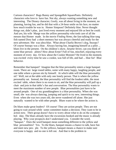Cartoon characters? Bugs Bunny and SpongeBob SquarePants. Definitely characters who love to have fun. Not shy, always wanting something new and interesting. The Disney character, Goofy, was all about living in the moment, no planning, having fun, and he did that with a 24-hour smile on his face, no matter how much trouble he was in. Homer Simpson? Definitely blue. Never thought things out, didn't plan, just lived every moment and enjoyed life as best he could. And yes, his wife Marge was the yellow personality who took care of all the messes that Homer made. In the movie *Finding Nemo*, the fast-talking blue tang fish named Dory had a short memory but was always cheerful and ready for the next adventure. She was ultra-blue. What about Charlie Brown's dog, Snoopy? Of course Snoopy was a blue. Always having fun, imagining himself as a pilot ... blues live in the present. On the children's show, *Sesame Street*, can you think of some blue person- alities? How about Ernie? Full of fun, mischief, enjoying every moment of every day. Or how about the Cookie Monster? He lived in the moment, was excited every time he saw a cookie, was full of life, and had ... blue fur! Blue behavior.

Remember that banquet? Imagine that the blue personality enters a large banquet room. There are large round tables, some with many happy, laughing people, and one table where a person sits by himself. At which table will the blue personality sit? Well, not at the table with only one lonely person. That is where the yellow personality sat. Instead, the blue personality will find the loudest table, the most excited table, where there is no room to sit, and the blue personality will pull up a chair and join in that table's fun and conversation. The blue personality wants to meet the maximum number of new people. Blue personalities just have to be around people. One of my granddaughters is a blue personality. When she was small, she was always dancing, jumping and quick to try new, interesting things. Even when she was two years old, she never wandered off alone. She just naturally wanted to be with other people. Blues want to be where the action is.

Do blues make great leaders? Of course! They are action people. They are not going to wait around while some committee makes a decision. They want to be in action now. Their group doesn't have to worry about what to do on the company hol- iday. The blues already have the excursions booked and the music is already playing. Why your prospects don't understand you. Consider the word, "banquet." Does the word banquet mean something different to the yellow and blue personalities? Yes. To the blues, banquet means a chance to talk, have fun and meet new peo- ple. To the yellows, banquet means a chance to make sure everyone is happy and no one is left out. And that is the problem in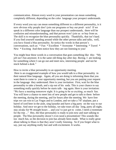communication. Almost every word in your presentation can mean something completely different, depending on the color language your prospect understands.

If every word you say can mean something different to a different personality, is it now obvious why people don't join our programs or buy our prod- ucts? If we speak in a different color language than our prospect understands, there will be confusion and misunderstanding, and that person won't join us or buy from us. The skill is to recognize the blue personality quickly. Thankfully, that isn't hard. If you find yourself standing around while the other person talks and talks, well, you have found a blue personality. So notice the words in that person's conversations, such as: \* Fun \* Excellent \* Awesome \* Interesting \* Travel \* New \* Exciting And then notice how they are not listening to you!

You might hear these words in a conversation that goes something like this: "My job isn't fun anymore. It is the same old thing day after day. Boring. I am looking for something where I can go out and meet new, interesting people and not be stuck behind a desk."

How to invite a blue personality to an opportunity meeting.

Here is an exaggerated example of how you would talk to a blue personality in their natural blue language. Again, all you are doing is informing them that you want them to come to your opportunity meeting, but you are putting your request in the language they understand. Here is your invitation: First, wait for the blue personality to take a breath, and a sip out of his soda. This is your chance to say something really quickly before he starts talk- ing again. Here is your invitation: "We have a meeting tomorrow night. It is going to be so exciting, so much fun. You will have a chance to meet lots of new people and get to talk to them before the meeting, during the meeting, and for hours after the meeting. We have free trips we can win to Las Vegas and to London, and we take a 747 airplane, put a barrel of iced beer in the aisle, sing karaoke and have a big party on the way to our holiday. And once we get to the holiday, we take tours all day long, party all night, stay awake for 96 straight hours ... and you've just got to come, I need a roommate for the trip ..." Hey, the blue personality is ready to join now and start talking to people. The blue personality doesn't even need a presentation! This sounds like too much fun, so the decision to join has already been made. What is really great about talking to blues is that they aren't really listening. So if you forget what to say, just say anything really fast and with excitement. It works.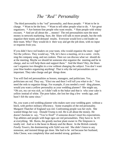# *The "Red" Personality*

The third personality is the "red" personality, and these people: \* Want to be in charge. \* Want to be the boss. \* Want to tell other people what to do. \* Are great organizers. \* Are bottom-line people who want results. \* Hate people with whiny excuses. \* And are all about the ... money! The red personalities earn the most money in network marketing. Sure, the blues will talk to more people, but the reds organize their teams and demand results. Everyone would love a red leader on their team. Why? They would do it their way and get the job done, with no input or requests from you.

If you didn't have red leaders on your team, who would organize the meet- ings? Not the yellows. They would say, "Oh, let's have a meeting, sit in a semi- circle, sing the company song, and eat cookies. Then we can discuss what we should do at the meeting. Maybe we should let someone else organize the meeting and be in charge, and we will help them and support them." And the blues? Hey, the blues can't organize two thoughts in a row without changing the subject. You don't want your blue leaders organizing anything! That is why the red personalities are so important. They take charge and get things done.

You will find red personalities as bosses, managers, and politicians. Yes, politicians are red. They say, "Elect me and then I will tell you what to do." You need the reds to organize things. For example, if you needed a wed- ding planner, would you want a yellow personality as your wedding planner? She might say, "Oh yes, my cat was sick, so I didn't talk to the baker and that is why your cake is yellow instead of white. The poor baker, she lost her dog a few weeks ago, and hasn't felt the same since."

No, you want a red wedding planner who makes sure your wedding goes without a hitch, with perfect military efficiency. Some examples of the red personality. Margaret Thatcher of England was red. Confronting people was her style. She wanted things her way. Donald Trump is red. He is all about the money. He doesn't hesitate to say, "You're fired!" if someone doesn't meet his expectations. Top athletes and people with huge egos are red personalities. They have to be #1 at everything. Mr. Burns, the greedy nuclear plant owner in *The Simpsons* is totally red. And so is the beast in *Beauty and the Beast*. In the British comedy *Fawlty Towers*, the domineering wife Sybil was red. She didn't listen to any nonsense, and insisted things get done. She had to be red because her husband, John Cleese, was completely blue and needed strong guidance.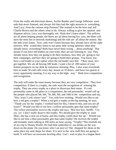From the really old television shows, Archie Bunker and George Jefferson were reds that never listened, and always felt they had the right answers to everything. And Lucy, from the cartoon strip *Peanuts*? She wanted to be the boss and tell Charlie Brown and the others what to do. Always willing to give her opinion and dispense advice, Lucy was thoroughly red. Reds don't listen either! The yellows are all about helping people, the blues are all about having fun (yes, the blues will have the most fun in network marketing) and the reds are all about the money. But the reds won't listen. Now, reds won't listen because they already have all the right answers. Why would they listen to our puny little wrong opinions when they already know everything? Reds have never been wrong ... about anything! That means if you have red leaders on your team, they are not listening to you. They already know how they are going to do their business, how they are going to run their campaigns, and how they are going to build their groups. You know you have a red leader in your upline when the red leader says this: "Okay team, let's get together. We are all buying 500 leads. I want a list of 200 names of your hottest prospects on my desk by tomorrow morning. Plus, I also want everybody here to make 50 cold calls every day, knock on 33 doors, and have two guests at every opportunity meeting. It is my way or the high- way." Reds love competition and recognition.

The reds will make the most money because they are very competitive. They love competition. If there is a trophy, the reds want the recognition of winning the trophy. They see every trophy as a place to showcase their name. If a red personality came in 4th place in a competition, the red personality would call up the people who placed 5th, 6th, 7th, 8th, 9th, and 10th in the competition and say, "Hey, loser! Look where I am!" Yes, reds love winning. Would you like to see how a red gets a trophy? When a red gets a trophy at the big meeting, he says, "Thank you for the trophy. I worked hard for this, I deserve this, and you are all losers!" Would you like to see how a yellow personality gets that same trophy? The yellow personality receives the trophy and says, "Boo hoo hoo. Sniffle. Cry, cry, cry. I don't really deserve this trophy. We should give the trophy to poor Mary, she has a sick cat at home, and this trophy could cheer her up." Would you like to see how a blue personality gets that same trophy? He receives the trophy and instantly starts talking at 200 miles an hour saying, "Trophy! This reminds me of my trip to Disney World. We had little umbrellas in our drinks on the way down on the plane. Do you know who I sat next to? She shopped for shoes at the same place my aunt shops for shoes. It is next to the new mall they are going to build. It will have an awesome bowling alley. Can't wait to play in a league there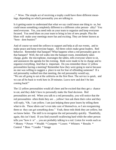..." Wow. The simple act of receiving a trophy could have three different meanings, depending on which personality you are talking to.

Is it getting easier to understand that what we say could mean one thing to us, but could mean something completely different to a different color person- ality? You need everyone. Yes, you need reds on your team to organize and keep everyone focused. You need blues on your team to bring in lots of new people. Plus the blues will make your meetings more fun and exciting. They are better known as "bore- dom busters!"

And of course we need the yellows to support and help at all our events, and to make peace and keep everyone happy. All three colors make great leaders. Red behavior. Remember that banquet? What happens when a red personality goes to that banquet? Well, the red walks into the banquet room, immediately takes charge, grabs the microphone, rearranges the tables, tells everyone where to sit, and announces the agenda for the evening. Reds were made to be in charge and to organize everything. And that is important. Do you remember those 12 yellow personalities having a meeting? Remember how they were going to starve because no one was willing to suggest a place to eat for fear of offending someone? If a red personality walked into that meeting, the red personality would say, "We are all going to eat at the cafeteria on the first floor. The service is quick, and we can all be back to work here in 20 minutes. Leave now and don't be late coming back!"

The 12 yellow personalities would all cheer and be excited that they get a chance to eat, and they didn't have to personally make the final decision. Red personalities are red. When you talk to a red personality, you will notice that the red personalities often think they are ... yellow! Just ask them their color and they will reply, "Oh, I am yellow. I am just helping these poor losers by telling them what to do. These idiots can't even take care of themselves, so I am reorganizing them so they can get something done." Yeah, these reds think they are yellow, but we know better. The skill is to recognize the red personality quickly. Thankfully, again, this isn't hard. If you find yourself swallowing hard while the other person tells you "how it is" ... you are probably talking to a red. Listen for words such as: \* Money \* Power \* Wealth \* Compete \* Losers \* Whiners \* Results \* Control \* Boss \* Leader \* Image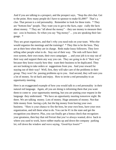And if you are talking to a prospect, and the prospect says, "Stop the chit-chat. Get to the point. How many people do I have to sponsor to make \$1,000?" That's a clue. That person is a red personality. Remember to look for these traits. \* They are "bottom-line" people. They want you to get to the facts, espe- cially the facts about money. \* They are "all about the money" – they use money to measure their suc- cess in business. So when you say "big money" ... you are speaking their language. \*

They are great organizers, and that's why you need reds on your team. Who else would organize the meetings and the trainings? \* They like to be the boss. They are at their best when they are in charge. Reds make lousy followers. They love telling other people what to do. Stay out of their way. The reds will have their own system, their own team, their own campaigns ... and your job is to stay out of their way and support them any way you can. They are going to do it "their way" because they know exactly how they want their business to be duplicated. They are not looking to take orders or suggestions from you. And your reward for staying out of their way? Well, first, they will take care of the problems in their group. They won't be passing problems up to you. And second, they will earn you a lot of money. So sit back and enjoy. How to invite a red personality to an opportunity meeting.

Here is an exaggerated example of how you would talk to a red personality in their natural red language. Again, all you are doing is informing them that you want them to come to your opportunity meeting, but you are putting your request in the language they understand. "We have an opportunity meeting tomorrow night. Be there. We are talking money. Lots of money. Huge amounts of money. Not that little money from having a job, but the big money from having your own business. "Here is your chance to fire the boss, be your own boss, have your own organization, and tell them what to do. You can be #1 in the state and get the recognition you deserve. Plus, you can finally get a bonus check that recognizes your greatness, then buy that red Ferrari that you've always wanted, drive back to where you used to work, leave rubber marks up and down the company parking lot, roll down the window and wave saying, 'Good-bye losers!'"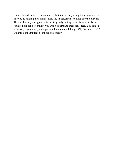Only reds understand these sentences. To them, when you say these sentences, it is like you're reading their minds. They are in agreement, nothing more to discuss. They will be at your opportunity meeting early, sitting in the front row. Now, if you are not a red personality, you won't understand these sentences. You don't get it. In fact, if you are a yellow personality you are thinking, "Oh, that is so cruel." But this is the language of the red personality.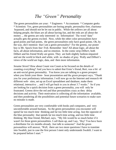## *The "Green" Personality*

The green personalities are your: \* Engineers \* Accountants \* Computer geeks \* Scientists Yes, green personalities are boring people, personality-free, charismabypassed, and should not be let out in public. While the yellows are all about helping people, the blues are all about having fun, and the reds are all about the money ... the greens are only interested in: Information! The word "data" actually gets the greens excited. Now, while the other color personalities have good points and bad points, the green personalities only have good points. Oh, by the way, did I mention that I am a green personality? For the greens, our poster boy is Mr. Spock from *Star Trek*. Remember him? All about logic, all about the facts, all about information, and no emotion. In the comic strip *Dilbert*, both Dilbert and his friend Wally are green. They are both slightly fashion-impaired and see the world in black and white, with no shades of gray. Wally and Dilbert's views of the world are logic, data, and then more information.

*Sesame Street*? How about Count von Count as he focused on the details of counting everything? And you have to admit that Ernie's friend, Bert, was a bit of an anti-social green personality. You know you are talking to a green prospect when you finish your three- hour presentation and the green prospect says, "Thank you for your preliminary information. I will now go on the Internet and research 44 different web- sites, set up an Excel spreadsheet and database, make them relational, interactive ... and I will get back to you in about 3.7 weeks." So if you are looking for a quick decision from a green personality, you will only be frustrated. Greens drive the red and blue personalities crazy as they delay decisions and activity. Their motivation is collecting all the information available, and then pondering all the possibilities and potential future scenarios to make sure no mistake is made.

Green personalities are very comfortable with books and computers, and very uncomfortable around humans. So the green personalities you encounter will spend far too much time thinking and far too little time acting. Just the opposite of the blue personality that spends far too much time acting, and too little time thinking. My blue friend, Michael, says, "My life would be so much better if it wasn't for those green personalities. I call them up, and I say, 'Hey! You have been a distributor for six months already. Just talk to someone!' And the green personalities will answer, 'Well, there are two more questions I have to translate into Swahili, just in case the first person I meet only understands Swahili. I want to be prepared before I start."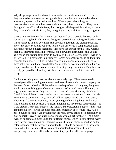Why do green personalities have to accumulate all this information? Of course they want to be sure to make the right decision, but they also want to be able to answer any questions for their downline. What is great about the green personalities is that once they make their decision, they stay with it. They went through all the effort, all the facts, they weighed all the possible options, so once they have made their decision, they are going to stay with it for a long, long time.

Greens may not be very fast starters, but they will be the people that stick with you for the long haul. This means that green personalities make great leaders also. When someone in their downline calls up with a question, the green personality knows the answer. And if you need to know the answer to a compensation plan question or about a magic ingredient, they have the answer for that too. Greens spend all their time preparing for this, so if a downline distributor calls up and asks for an application form from 1982, they will reply, "Do you want Revision A or Revision B? I have both in inventory." Green personalities spend all their time going to trainings, re-writing brochures, accumulating information ... because these activities help them avoid talking to people. Network marketing, talking to people, is a bit out of the comfort zone of most green personalities. They have to be fully prepared be- fore they will have the confidence to talk to their first prospect.

On the plus side, green personalities are extremely loyal. They have already investigated all competing companies, and have chosen their current company as the best. Green behavior. If the yellows are the professional huggers, the greens would be the anti- huggers. Greens just aren't good around people. If you try to hug a green personality, they turn into an icicle and try to slip away. My blue friend, Michael, likes to tease me because I am green. Sometimes I go to Canada to visit my green friend, Gary. Michael will call up Gary and say, "Hey Gary, when Big Al comes to visit you, I want you to give him a big hug! And please take a picture of this because two greens hugging has never been seen before!" So if the greens are the anti-huggers, the yellows are professional huggers, then what about the blues? How do the blues feel about hugging? They would say, "Woohoo! Sounds like fun!" And what about the reds? If you asked a red personality to hug, he might say, "How much bonus money would I get for that?" The simple event of hugging can mean up to four different things, which means almost every word in your presentation can mean up to four different things depending on the color language that the prospect understands. It should be crystal clear now why people don't buy or join. They just don't understand us because they are interpreting our words differently, because they speak a different language.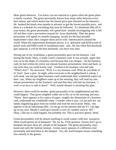More green behavior. You know you are married to a green when the green plans a family vacation. The green personality knows how many miles between every fuel station, and which station has the lowest price (pre-checked on the Internet.) He booked the hotels nine months in advance to get the lowest possible price, and there is a schedule for everything that must be followed. If a doorknob falls off in your house, the green personality will spend three months investigating why it fell off and then write a prevention manual for loose doorknobs. Then the green personality will spend six months shopping locally for the best possible replacement value, then compare those prices with Internet prices around the world. When the replacement doorknob arrives, it is delivered with \$250 worth of power tools and \$300 worth of installation man- uals. Ah, but when that doorknob gets replaced, it will be the best doorknob you have ever seen.

During one of my workshops, a green personality gave me his business card during the break. Okay, it really wasn't a business card. It was actually paper that was cut in the shape of a business card because that was cheaper. On his business card, he had written his entire one-minute business presentation, front and back, in tiny print that you could barely read. I looked at his business card and said, "What's this?" He answered, "Well, it is my business card. What do you think of it? And I have a plan. At night, when everyone in the neighborhood is asleep, I will sneak out and put these business cards underneath their windshield wipers on their cars. When my neighbors wake up in the morning, they will read my oneminute presentation on this business card and then they will join my business. I won't even have to talk to them!" Well, maybe disaster is awaiting this plan.

However, there could be another green personality in his neighborhood and this could happen: That green neighbor walks out to his car in the morning and says, "Hmm, there appears to be a piece of paper, roughly the dimensions of a business card, underneath my windshield wiper. I wonder what it says. Let me pull out my handy magnifying glass from my toolkit and read the micro-print. Hmm, this appears to be an interesting offer. Let me go on the Internet and see if I can sign up on my own. Maybe I could give myself a cool I.D. number such as 007." Okay, I did say it could happen, but probably not. This is just how greens think.

Green personalities will do almost anything to avoid contact with new prospects. What would greens do at banquets? Ha, ha, ha. Trick question. Greens don't go to banquets because there are people at the banquets. The green personality stays home and surfs the Internet instead. Greens marry spouses of a different color personality and send them to the banquet. Yes, the word banquet means something else entirely to the greens.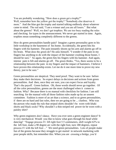You are probably wondering, "How does a green get a trophy?" Well, remember how the yellow got the trophy? "Somebody else deserves it more." And the blue got the trophy and started talking endlessly about whatever came to mind. The red said, "I am a winner and you are all losers." But what about the greens? Well, we don't get trophies. We are too busy reading the rules and checking for typos in the announcement. We never get started in time. Again, trophies mean something completely different to the greens.

How do green personalities handle pain? Imagine a green personality goes to his little workshop in the basement of his home. Accidentally, the green hits his fingers with his hammer. The pain instantly shoots up his arm and alarms go off in his brain. What does the green do? He asks himself, "I wonder if the pain in my fingers has anything to do with the impact of the hammer crushing those bones. I should be sure." So again, the green hits his fingers with his hammer. And again, intense pain is felt and alarms go off. The green thinks, "Yes, there seems to be a relationship between the pain in my fingers and the impact of hammers. I believe I have proven this relationship exists. Let me do it one more time to prove my new theory, just to be sure."

Green personalities are skeptical. They need proof. They want to be sure before they make their decisions. So expect delays in decisions and actions from green personalities. And then, once they are sure, you can expect focus and loyalty. That's the payoff. Green fashion. Oh, those words should never go together. Of all the color personalities, greens are the most challenged when it comes to fashion. Why? Because there is no manual with checklists for fashion. I am still searching for the manual with all those fashion rules made up by an unseen committee. Fashion is more of an art than a science, and to us green personalities, if there are no hard and fast rules, then we are going to be ... clueless. Who was the person who made the rule that striped shirts shouldn't be worn with khaki shorts and black socks? Why shouldn't a thin-striped red power tie be worn with a paisley shirt?

Why green engineers don't dance. Have you ever seen a green engineer dance? It is very mechanical. Would you like to know what goes through his head while dancing? "Engage process #1: lift right foot 5.5 centimeters, shift weight 62% to the left foot, make a 90 degree arc with the right foot, turn 180 degrees, repeat process #1 with the left foot ..." We need green personalities. Lots of people make fun of the greens because they struggle to get started in network marketing with poor people skills, but remember this. When you are crossing a bridge, you'd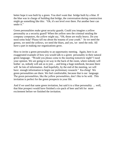better hope it was built by a green. You don't want that bridge built by a blue. If the blue was in charge of building that bridge, the conversation during construction might go something like this: "Oh, it's not level over there. Put another beer can under it."

Green personalities make great security guards. Could you imagine a yellow personality as a security guard? When the yellow sees the criminal stealing the company computers, the yellow might say, "Oh, those are really heavy. Do you need some help? Please tell me about the trauma of your youth." So we need the greens, we need the yellows, we need the blues, and yes, we need the reds. All have a part in making our organizations grow.

How to invite a green personality to an opportunity meeting. Again, here is an exaggerated example of how you would talk to a green personality in their natural green language. "Would you please come to the meeting tomorrow night? I need your opinion. We are going to sit way in the back of the room, where nobody will bother us, nobody will ask us to join ... and bring a huge notebook, because there will be lots of information. And hopefully, by the end of the meeting, we will have enough information to begin our preliminary research." Ka-ching! We green personalities are there. We feel comfortable, because that is our language. The green personalities, like the yellow personalities, don't like to be sold. This invitation is perfect for the green prospects in your life.

And if we used that same green invitation, but said it to a blue personality ... well, that blue prospect would have finished a six-pack of beer and left for more excitement before we finished the invitation.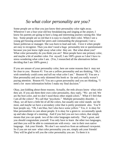## *So what color personality are you?*

Some people are so blue you just know their personality color right away. Whenever I see a four-year-old boy breakdancing and singing at the airport, I know his parents are going to have a long and interesting journey raising this blue boy. Some people are so red that it is easy to classify their color. When I see a young girl bossing around her peers and commanding the playground, I see a future politician or manager. She was born to lead and rule. I love it when people are easy to recognize. Then you don't need a huge personality test or questionnaire because you just know right away what color they are. But what about you? What color personality do you think you are? Most people have one primary color, and maybe a bit of another color. For myself, I am 100% green so I don't have to stress wondering what color I am. (Yes, I researched all the alternatives before deciding that I am 100% green.)

If you are unsure of your personality color, here are some reasons that it may not be clear to you. Reason #1: You are a yellow personality and are thinking, "Oh, I wish somebody could come and tell me what color I am." Reason #2: You are a blue personality and you only skimmed this book so far and you really weren't paying attention. Reason #3: You are a green personality and you are thinking, "I need a lot more information before I make my final decision."

Okay, just kidding about those reasons. Actually, the reds always know what color they are. If you ask them their own color personality, they reply, "We are red. We are the best color, and we don't need those other stupid colors." What if I feel that I am all the colors? We call that "psychotic." Multiple personality disorder. :) Okay, we all have a little bit of all the colors, but usually one color stands out the most, and maybe we have a secondary color that is pretty prominent also. You'll hear people say, "Oh, I am blue, but I also have some yellow." Yes, it is okay for blue personalities to care about people. It is okay for a green to occasionally speak up and take charge of a meeting. And if you feel you are two colors, that simply means that you can speak two of the color languages natively. That's great, and you should congratulate yourself. You only have to learn the other two languages, and then you will be able to communicate with every- one in their own native language. Ask your friends. We don't see ourselves from an unbiased viewpoint. So if you are not sure what color personality you are, simply ask your friends! They will be glad to tell you the color personality you are. To them it is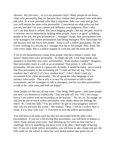obvious. My job color ... or is it my personal color? Many people do not know what color personality they are because they confuse their personal color with their job color. It is your personal color that is important. Jobs can come and go, but you will remain the same color personality. Concentrate on what color you feel you are, and don't let your current job influence your judgment. Here's why. Let's say that Anna is yellow. She loves hugging people. One day she gets hired in a customer service department, helping other people. Anna is so good at helping people at her job, she gets promoted to ... manager! Ooops. Red personalities love to be managers, but yellow personalities hate being managers. Now Anna hates her job because now she has to fire people. Anna is still a yellow personality, but she is now working in a red job, as a manager that has to fire people. Poor Anna. She cries every night. She is a yellow trapped in a red job, and she hates her life.

A lot of job dissatisfaction comes from people who have chosen a career that doesn't match their color personality. So forget the job. Look deep inside your prospects to find their true color personalities. Want another example? Imagine a blue personality stuck in a job as an accountant! That person is still a blue personality, but just stuck in a green job. Actually, it would be funny just to watch that blue personality in the accounting job. I could see him say ing, "Hey, the numbers don't add up! Let's have another beer!" I don't think I want my accountant to be a blue personality. We all speak the color language of our primary color easily. That is why it is easy for accountants to talk to other accountants, and for managers to talk to managers, and for two blue personalities to talk at the same time, and both are happy!

Some people are like me, all one color. I like being 100% green. And some people just don't see themselves realistically. I had one lady tell me, "Oh, I am orange that is, I am yellow with red ascending on the horizon." No, no, no. No orange, no red, just an out-of-touch yellow personality who thinks about her feelings too much. So, I told this lady, "You are yellow! So get on your imaginary unicorn and ride out and meet the world." She replied, "Okay, I will be a yellow then. I mean, if it is okay with you." :) You have to love the yellow personalities.

You still have to do tasks each day that are associated with the other color personalities. If you are a fun-loving blue personality, you still have to balance a check book and pay your taxes. And showing up for work on time may be a challenge, but it is something you have to try to do after a hard night of having fun. If you are a kind, yellow personality, you still have to take charge and get the kids ready for the school or insist that your dental patient take good care of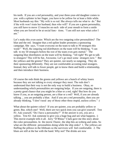his teeth. If you are a red personality, and your three-year-old daughter comes to you with a splinter in her finger, you have to be yellow for at least a little while. Most husbands say this: "My wife is so red. She always tells me what to do." But if the wife won't train her husband, then who will? If you are a green personality, you still have to move 13 muscles on each side of your mouth to form a smile when you are forced to be at social func- tions. "I am still not sure what color I am."

Let's make this even easier. Which are the two outgoing color personalities? The blue and the red. Imagine that a red upline leader promotes a sponsoring campaign. She says, "I want everyone on the team to talk to 50 strangers this week!" Well, the outgoing red distributors on the team will be thinking, "I can talk to my 50 strangers before the rest of the team even gets started." The outgoing blue distributors on the team will be thinking, "All right! We get to talk to strangers! This will be fun. Awesome. Let's go meet some strangers now." But the yellows and the greens? They are quieter, not nearly so outgoing. They do their sponsoring differently. They are not comfortable accosting total strangers. Instead, they will talk to fewer people, get to know them and build a relationship, and then introduce their business.

Of course the reds think the greens and yellows are a bunch of whiny losers because they are not talking to every stranger they meet. The reds don't understand that their way is not the only way to build a business. Okay, so understanding which personalities are outgoing helps. If you are outgoing, there is a pretty good chance that you might be a blue or a red, right? But how do you know if you, as an outgoing person, are a blue or a red? Well, if you are already talking ... you are probably a blue. And if you are a red personality, then you are already thinking, "I don't need any of those other three stupid, useless colors." :)

What about the quieter colors? If you are quieter, you are probably yellow or green. But, which one? Well, there are two quick tests you can give yourself. Test #1: Ask yourself, "Do I have a personality?" If the answer is yes, you are a yellow. Test #2: Ask someone to give you a huge hug and see what happens. :) This movie example tells it all. Jerry "D'Rhino" Clark gave me this story about the color personalities. In the movie *Titanic*, the ship hits an iceberg and sinks. So what are the different personalities doing while the ship sinks? 1. The yellows are fluffing the pillows in the lifeboats so the survivors will feel comfortable. 2. The blues are still at the bar with the band. Why not? The drinks are now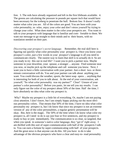free. 3. The reds have already organized and left in the first lifeboats available. 4. The greens are calculating the pressure in pounds per square inch that would have been necessary for the iceberg to penetrate the hull. Bottom line: It doesn't really matter what color you are. All of the colors are good. You are born with your color personality, so relax, enjoy your color and don't stress yourself by trying to change your color. What does matter is the color your prospects are. You want to talk to your prospects with language that is familiar and com- fortable to them. We want our message to go straight to their minds and to their hearts, with no translation needed on their part.

*Discovering your prospect's secret language.* Remember, the real skill here is figuring out quickly what color personality your prospect is. Once you know your prospect's color, just a few words in your prospect's language is all you need to communicate clearly. The easiest way to learn that skill is to actually do it. So are you ready to try this out in real life? I want you to pick a partner now. Maybe someone in your downline, your spouse, a stranger ... anyone. Find someone near you now, or maybe pick up the telephone and call someone you know. Next, I want you to have a little conversation with your partner. Just a short two- or threeminute conversation will do. You and your partner can talk about anything you want. You could discuss the weather, sports, the latest soap opera ... anything that is interesting for both of you to talk about. At the end of your conversation, ask yourself, "So what color personality was my partner?" Clear? Unsure of your partner's color personality? Before you panic, let me tell you my results. I can only figure out the color of my prospect about 50% of the time. Half the time, I have absolutely no idea what color my prospect is.

Why? Maybe my prospect is a little bit of everything. Or, maybe I am not paying close attention. I don't know, but I am simply happy picking out the most obvious personality colors. That means that 50% of the time, I have no idea what color personality my prospect is, but I do know that since my prospect is not an extreme version of any of the color personalities, a regular generic presentation will be okay. But, here is the magic. The 50% of the time when I do know what color my prospect is, all I need to do is say just four or five sentences, and my prospect is ready to buy or join immediately. The communication is so clear, so targeted, that when you speak in someone's native color language, they "get it" right away. I am thrilled with this sort of super-communication with half of the prospects I talk to. You can earn a fortune by super-communicating with half of your prospects. And the great news is that anyone can do this. All you have to do is take advantage of the obvious prospects who have a clear and easy-to- read personality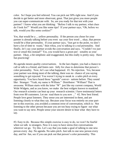color. So I hope you feel relieved. You can pick out 50% right now. And if you decide to get better and more observant, great. That just gives you more people you can super-communicate with. So, are you ready for that test with your partner? I know what you are thinking: "Before I talk to my partner, what clues do I look for?" Would you like some tips? If your partner says, "Oh, before we talk, would you like some cookies?"

Yes, that would be a ... yellow personality. If the person you chose for your partner is already talking before you even say your first word ... okay, that person would be a blue personality. If your partner says, "Just get to the point, we don't have a lot of time to waste," then whoa, you're talking to a red personality. And finally, let's say your partner avoids the conversation and says, "Couldn't we just text or email this instead?" Yes, you would have a green per- sonality as your partner. Okay, a bit simplistic and exaggerated, but this really is pretty easy. Have fun practicing!

*No agenda means quality conversations.* In the last chapter, you had a chance to call or talk to a friend, and listen care- fully for clues to determine that person's color personality. Now, let's see what happened. #1. No rejection. Yes, because your partner was doing most of the talking, there was no chance of you saying something to get rejected. You weren't trying to sneak in a sales pitch at every opportunity. You have heard those "agenda" conver- sations before. They sound like: Stranger: "Yeah, my name is William." Distributor: "William? That is awesome. William starts with the letter "W" just like my current company, World Wide Widgets, and as you know, we make the best widgets known to mankind. Our research scientist can beat up your research scientist. I have testimonial letters from over 80 customers. Let me read them to you now ..." #2. New best friend. People love great listeners. They sense you are interested in them, and are listening closely to what they say. Because your focus was entirely on your partner in this exercise, you avoided a common error of conversation, which is: Not listening to the other person because you are too busy trying to figure out what you want to say next. People sense your sincere desire to hear what they have to say.

#3. Easy to do. Because this simple exercise is easy to do, we won't be fearful when we talk to strangers. Now it is easy to have stress-free conversations wherever we go. Try this. Let's say that you make a goal of talking to one new person every day. No agenda. No sales pitch. Just talk to one new person every day, and for fun, see if you can pick out that person's color personality. This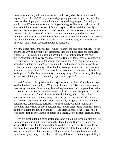exercise would only take a minute or two to do every day. Now, what would happen if you did this? First, you would get pretty good at recognizing the color personalities of people. It would be fun and entertaining for you. Second, you would have 365 new contacts who think you are a great lis- tener. What a terrific way to build your warm market of future prospects. Third, and this is really exciting. Because you were such a good listener, and because you were a sincere listener ... 20, 30 or even 40 of these strangers might ask you what you do for a living, or at least want to know more about you. You could have five or ten people literally volunteer to buy what you sell or join your business, just because they like you! This is truly sponsoring with no rejection.

*Now the world makes more sense.* Once we know the four personalities, we can understand why some people act differently than we expect. Here are some great examples. Blues should not explain anything. I was introduced to the four different personalities by my friend, Jerry "D'Rhino" Clark. Jerry, of course, is a red personality, but he has a lot of blue personality too. And blue personalities should not explain anything! Jerry sent me his audio album on the personalities. He had one audio explaining each of the four color personalities ... but there were six audios in total. Six??? Yes, it took Jerry two audios to warm up before he got to the point. That's a blue personality explaining things. And when Jerry finally got around to explaining each personality, I just didn't "get it."

I couldn't relate to the quadrants, the explanations, and I wasn't really sure how to take the theory and apply it. Why didn't I understand? Because I am a green personality. We want facts, steps, detailed explanations, and complete instructions on how to put this information into use in real life. So what happened? I passed on the six audios to a friend of mine, Michael Dlouhy, who is also a blue personality. He "got it" immediately! Michael put the theory and information to use and had spectacular results. Now, I was really intrigued. It seems like blue personalities communicate perfectly with each other, but it all sounds like disjointed gibberish to us green personalities. It was after seeing Michael's results of understanding the four personalities - and after Michael's insistence - that I took on the task to explain this to others in a logical, step-by-step, green manner.

Greens are great at taking complicated ideas and explaining them in a sim ple way for others to understand. Blues should be doing things. Blues were made for action. But greens should explain things. And greens have plenty of time to do this since they have lots of planning to do before they take their first action step. We are born with a color personality. Think about it. A couple has four children. From an early age, maybe the oldest child, a girl, has taken on the responsibility of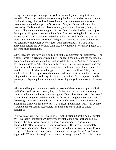caring for her younger siblings. Her yellow personality and caring just came naturally. One of her brothers seems undisciplined and has a short attention span. His frantic energy, his need for interaction and constant movement means his parents are going to have years of frustration if they don't realize he is a blue personality. He dances during class at school, wants to explore everything, and sitting still at dinner without singing is impossible. Another brother appears just the opposite. His green personality helps him focus on reading books, organizing his room, and creating structure and order in his life. And finally, the younger sister stands on a chair in pre-school and gives or- ders to the other children. Her red personality challenges every request from her parents. She wants to do everything herself and everything turns into a competition. We marry people of a different color personality.

Why? Because they have skills and abilities that complement our weaknesses. For example, what if a green married a blue? The green could balance the checkbook, make sure things got done on time, and schedule the week. And the green could have fun just watching the blue spouse have fun. The blue spouse could take care of all the social relationships, entertain their friends, and put a little excitement into their lives. Or what would happen if a red married a yellow? The yellow would tolerate the abruptness of the red and understand that maybe the red wasn't being unkind, but was just being direct and to the point. The red spouse could be in charge of disputing the restaurant bill, something the yellow spouse would never do.

What would happen if someone married a person of the same color personality? Well, if two yellows got married, they would become missionaries in a foreign country, and you would never see them again. If two blues got married, that would be a 24-hour hangover, and they would be the loudest neighbors you ever had. If two reds got married, that would be ... war. But who knows, they may form an alliance and then conquer the world. If two greens got married, well, why bother? It would be more fiscally responsible for them to file their taxes as single individuals.

*Why prospects say "No" to great things.* In the beginning of this book, I wrote: \*\*\* Does this look familiar? Have you ever talked to a prospect and had this happen? 1. The prospect desperately needed your product. (And you just happened to offer this product to your prospect.) 2. The prospect desperately wanted your opportunity. (And you just hap- pened to offer your business to your prospect.) Then, at the end of your presentation, the prospect says, "No." What happened? What went wrong? Does this seem strange to you? \*\*\* Well, now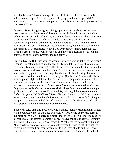it probably doesn't look so strange after all. In fact, it is obvious. We simply talked to our prospect in the wrong color language, and our prospect didn't understand us. Here are some examples of how this misunderstanding shows up in our presentations.

**Green vs. Blue.** Imagine a green giving a presentation to a blue. As the green slowly recre- ates the history of the company, reads the policies and procedures, references the research and awards, and begins the compensation plan explanation ... what is the blue doing? The blue has finished a six-pack of beer and is contemplating jumping off a cliff to avoid any further torture from this green information maniac. The company could be awesome, but the communication of the company's awesomeness stopped after 30 seconds of mind-numbing facts from the green. The blue will never join, and the blue's decision not to join had nothing to do with how awesome the company was.

**Blue vs. Green.** But what happens when a blue gives a presentation to the green? It sounds something like this to the green. "Let me tell you about the company. I went to my first presentation right after the big game between the Rangers and the Rovers. You should have seen that game. And the hot dogs were awesome. I don't know what they put in those hot dogs, but they are the best hot dogs I have ever eaten except for the time I flew to Germany for Oktoberfest. You wouldn't believe how long that flight is. I think I had five or six of those great drinks where they put those little umbrellas in them. Sort of reminds me of my second cousin's mother who was our teacher in fourth grade. She always threatened us with her English um- brella. Of course we were afraid, those English umbrellas are highquality and you know they could be lethal. By the way, did you see the movie *Lethal Weapon* with Mel Gibson? Wow. He was all action ..." Will the green ever join? Of course not. Even though the company would be a perfect fit for the green prospect, the green needed all the information to make that decision. And with a blue presentation, no information is ever delivered.

**Yellow vs. Red.** Imagine a yellow giving a caring, socially-responsible invitation to an opportunity meeting to a red personality. "Oh, would you please come to our meeting? Well, it is not really a meet- ing, as we all sit in a semi-circle, so we all feel equal. And after the company song, we have the cookie-giving ceremony, then there is the group hug ..." Arrrggghhh! What is the red personality thinking? "These yellow people are using up valuable oxygen here on earth! They bet- ter create more oxygen from their organic gardening. They should pull their own weight and stop being parasites in our business society." Of course, the red will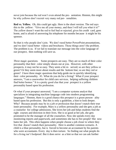never join because the red won't even attend the pre- sentation. Hmmm, this might be why yellows don't recruit very many red per- sonalities.

**Red vs. Yellow.** Oh, this could get ugly. Here is the short version. The red says this to the yellow: "Give me all your money, and then I will tell you what it is!" The yellow doesn't want the red to feel bad or rejected, gives his credit card, goes home, and is afraid of answering his telephone for months because it might be his sponsor.

So that is why people don't join. We don't need better PowerPoint presentations, and we don't need better videos and brochures. Those things aren't the problem. The problem is us. If we fail to translate our message into the color language of our prospect, then nothing will save us.

*Three magic questions.* Some prospects are easy. They are so much of their color personality that their color simply shouts out at you. However, with other prospects, it may not be so easy. They seem a bit re- served; so are they yellow or green? Or they seem more about results and the bottom line; so are they red or green? I have three magic questions that help guide me in quickly identifying their color personality. #1. What do you do for a living? What if your prospect answers, "I am a caseworker for child care services, helping suffering children find better homes." It is a pretty good clue that your prospect is a yellow personality based upon his profession.

Or what if your prospect answered, "I am a computer systems analyst that specializes in integrating machine language code into modern programming languages." Hmmm, there is a good chance this prospect is a green person- ality based upon his profession. But this is only a guideline, a hint to look deeper. Why? Because people may be in a job or profession that doesn't match their true inner personality. For example, Mary is a yellow personality and she gets a job as a counselor for college admissions. She loves her job and helps students find the right courses and direction in their lives. She is so good at her job, she gets promoted to be the manager of all the counselors. Now she spends every day monitoring reports and paperwork, and sometimes she has to fire people! She now hates her job. This often happens when people choose a job closer to where they live that doesn't match their personality. Here is another common scenario. A child is a blue personality, but is forced to become an accountant by his parents who were accountants. Every day is then torture. So finding out what people do for a living isn't foolproof. But it does serve as a hint so that we can ask further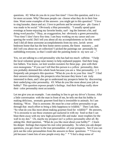questions. #2: What do you do in your free time? I love this question, and it is a lot more accurate. Why? Because people can choose what they do in their free time. Want some examples of the answers you might get to this question? "I love to sing karaoke, dance and act. I love to perform and be around peo- ple. Guess I was made to be social." Obviously a blue personality. "I usually spend quiet evenings at home enjoying my favorite books, surf- ing the Internet a bit, and doing word puzzles." Okay, an exaggeration, but obviously a green personality. "Free time! I don't have free time. I am busy working on my career and conquering the world. Did I tell you about all my accomplishments so far this week? And I did all these awesome accomplishments from my new, lavish seven bedroom home that has the best home stereo system, the finest masonry ... and did I tell you about my art collection? I picked the paintings out personally by outbidding everyone, so that I could take the painting home in my new car ..."

Yes, we are talking to a red personality who has had too much caffeine. "I help the local volunteer group raise money to help orphaned puppies find their longlost fathers. You know, we knit woolen sweaters for these pup- pies with their own monograms." If you can't tell that this person is a yellow personality, then you probably skimmed this whole book because you are a blue personality. :) I frequently ask prospects this question: "What do you do in your free time?" I find their answers interesting, the prospects relax because they know I am truly interested in them, and I also get to understand my prospects better by discovering their underlying color personality. #3: What do you like most about your job or hobby? This question exposes people's feelings. And their feelings really show their color personality most accurately.

Let me give you an example. I am standing in line to get my driver's license. After a little conversation with the man in front of me, he tells me that his hobby is making delicious, aromatic gourmet food that is irresistible to animals. So I am thinking, "Wow. That is awesome. He must be a true yellow personality to go through that much effort to bring a little happiness to wildlife." Then I ask him, "So what do you like most about making gourmet food for wildlife?" He answers, "It is awesome to see these creatures get suckered in with my food so that I can blast them away with my new high-powered rifle and make more trophies for the wall in my den." Uh, maybe my prospect isn't a yellow personality after all. By asking this third question, "What do you like most about your hobby?" - I learn his deeper feelings that expose his real color personality. So when you ask deeper questions, you get closer to the true personalities of your prospects. See if you can pick out the color personalities from the answers to these questions: \* "I love my job because I meet lots of new people every day." \* "I feel a deep sense of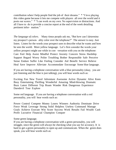contribution when I help people find the job of their dreams." \* "I love playing this video game because it lets me compete with players all over the world and it posts our scores." \* "I can work on my own. No supervision or distractions. And all I have to do is provide a concise report at the end of the week detailing pertinent infor- mation."

*The language of colors.* Many times people ask me, "But how can I determine my prospect's person- ality color over the telephone?" The answer is easy. Just listen. Listen for the words your prospect uses to describe what he wants and how he sees the world. More yellow language. Let's first consider the words your yellow prospect might use while in con- versation with you on the telephone: Care Feel Help Assist Mindful Protect Anxiety Concern Stress Hardship Support Regard Worry Polite Troubling Bother Responsible Safe Perceive Sense Endure Suffer Like Feeling Consider Aid Benefit Service Relieve Heal Save Improve Alleviate Accommodate Encourage Some blue language.

If you are having a telephone conversation with a blue personality (okay, you are just listening and the blue is just talking), you will hear words such as:

Exciting Fun New Travel Adventure Awesome Active Dynamic Alive Keen Busy Entertaining Thrilling Wonderful Amazing Mind-blowing Dramatic Buzz Latest Different Trip Roam Wander Risk Dangerous Experience Daredevil Tour Explore

Some red language. If you are having a telephone conversation with a red personality, you will hear words such as:

Power Control Compete Money Losers Winners Authority Dominate Drive Force Weak Leverage Strong Solid Helpless Useless Command Manage Goals Achieve Execute Win Score Success Work Results Fail Wealth Cash Profit Lucrative Financial Champion Conquer

Some green language.

If you are having a telephone conversation with a green personality, you will struggle, since the green will always be checking what you say for accuracy. It is hard to get a green personality to open up and communicate. When the green does speak, you will hear words such as: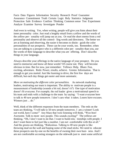Facts Data Figures Information Security Research Proof Guarantee Assurance Commitment Truth Certain Logic Rely Statistics Judgment Protection Safe Evidence Confirm Thinking Common sense Test Experiment Analyze Examine Survey Investigate Ponder

And even in writing. Yes, when writing, people will give you hints about their inner personality color. Just read a lengthy email from a yellow and the words of the yellow per- sonality will jump out at you. Or read the short memo from a red personality and observe all the control- ling words and directness. The better we are at listening and observing, the easier it becomes to distin- guish the color personalities of our prospects. These can be your words, too. Remember, when you are talking to a prospect who is a different color per- sonality than you, use the words of their language to describe what you are offering. Don't describe things in your language.

Always describe your offerings in the native language of your prospect. Do you need to memorize and know all these words? Of course not. They will become obvious in time. But for now, just remember: Yellows: Help. Blues: Fun, exciting, adventure. Reds: Power, results, achieve. Greens: Information. That is enough to get you started. Just like learning to drive, the first few days are difficult, but each day things get easier and more automatic.

*More on motivating the different color personalities.* As network marketing leaders, motivating our team is important. The ability to motivate people is a measurement of leadership (sounds a bit red, doesn't it?) One type of motivation doesn't fit everyone. For example, the red leader gives a motivational speech to his team and ends with a challenge to the team by saying: "I want everyone here to talk to 40 new people tomorrow. I don't care what it takes. Losers have excuses. Winners just ... do."

Well, think of the different responses from the team members. The reds on the team are thinking, "I will talk to 50 new people tomorrow. I am a winner! Look out world, here I come!" Any blues that were listening will think, "Woo-hoo! Awesome. Talk to more new people. This sounds exciting!" The yellows are thinking, "Oh, I don't want to do that. I want to build rela- tionships with people. I don't want them to feel just like a number. I am not comfortable with this at all." And the greens are thinking, "Ridiculous. Talking to 40 new people is like throwing mud on the wall and hoping some of the mud sticks. We need to educate these prospects one-by-one on the benefits of owning their own busi- ness. And I am not comfortable accosting strangers on the sidewalk just to meet some artificial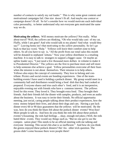number of contacts to satisfy my red leader." This is why some great contests and motivational campaigns fail. One size doesn't fit all. And maybe one contest or campaign doesn't fit all. So let's consider how we would motivate each individual color personality, to better understand why not everyone gets motivated the same way we do.

**Motivating the yellows.** Will money motivate the yellows? Not really. What about travel? Well, the yellows are thinking, "Oh who would take care of my cat, Fluffy, while I am gone? And who would talk to my plants? And what would they say?" Leaving home isn't that motivating to the yellow personality. So let's go back to that key word, "Help." Yellows will leave their comfort zone to help others. So all you have to say is, "All the profit from our retail sales this month will be donated to orphaned kittens." Now your yellow distributor is a retailing machine. It is easy to talk to strangers to support a bigger cause. Or maybe an upline leader says, "I just need a few thousand more dollars in volume to make it to Presidential Director." The yellows are the first to purchase more and sell more to help someone else achieve a goal. Yellow personalities overcome all their fears when the mission is not about themselves. Their mission is to help others. Yellows also enjoy the concept of community. They love to belong and contribute. Picnics and social events are bonding experiences. One of the teambuilding events I have used is holding a potluck dinner. My group would meet in a community hall and distributors would bring a food dish that they had cooked or prepared. Everyone shares and tries each other's food, and it is an inexpensive, enjoyable evening out with friends who have a common interest. The yellows lived for this event. They loved it. They brought extra food. They brought their friends. And their friends left the dinner with samples, products, and even an audio about the business. It was easy to invite their friends. No official opportunity meeting, just social, caring people talking about their product experiences, how the extra money helped their lives, and about their dogs and cats. Having a pot luck dinner every 60 or 90 days guarantees that the yellows will be motivated. By the way, how do you think the blues felt about the potluck dinner events? Woo-hoo! More people to talk to. And how do you think the reds felt about these potluck events? (Assuming the reds had feelings ... okay, enough red jokes.) Well, the reds hated these events. They would say things such as, "But no one got to see the compen- sation plan! This needs to be an official meeting with me talking and everyone listening. This social chit-chat is so inefficient." And how do you think the greens enjoyed these potluck dinners? Ha! An- other trick question. The greens didn't come because there were people there!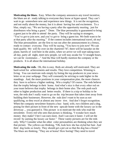**Motivating the blues.** Easy. When the company announces any travel incentive, the blues are al- ready talking to everyone they know at hyper-speed. They can't wait to go somewhere new and experience new things. It is not the recognition, and not really about the money, but it is about having fun and excitement. To a blue, simply say, "We are having a party after the opportunity meeting, just for distributors who bring a guest." Done. The blue personality is guaranteed to bring a guest just to be able to attend the party. They will be saying to strangers, "You've got to join now, and you've got to bring a guest too. We both want to be at that party after the meeting." If the contest includes international travel, oh my! The blue personalities are the first to run out after the announcement in a frenzy, ready to contact everyone. They will be saying, "You have to join now! We can both qualify. We will fly over on the chartered 747, there will be karaoke on the plane, barrels of iced beer in the aisles, when we arrive we will start taking tours all day, party all night, meet new people, we will stay awake for 72 straight hours, we can be roommates ..." And the blue will hardly mention the company or the products. It is all about the international holiday.

**Motivating the reds.** Oh, this is easy. Reds are already self-motivated. They are hard-wired for achievements and results. They love competition. Winning is living. You can motivate reds simply by listing the top producers in your newsletter or on your webpage. They will constantly be striving to rank higher in the standings. And, the more positions in your compensation plan, the more chances they have to achieve a higher ranking. Win a trophy? Of course. The reds believe that the trophy belongs in their home. And what's nice is that every other red on your team believes that trophy belongs in their home also. The reds push each other to higher production and better results. If there is a trip or holiday to be won, the reds don't really want to go on the trip because that takes time away from building their businesses. However, the reds don't want to be seen as not qualifying, so they excel at almost any incen- tive. And don't forget recognition. When the company newsletter features a hus- band, wife, two children and a dog, posing for their picture in front of the new upscale home with the luxury car in the driveway ... you guessed it. This picture is to motivate the reds who read the newsletter. Every red who sees that picture is thinking, "I wonder how much money they make? I bet I can earn more. And I can earn it faster. I will set the record by earning the luxury car faster." These vanity pictures are for the reds only. Why? Consider what the other color personalities are thinking when they see that picture. The yellows are thinking, "Oh, look how she has styled her hair. And their dog looks so lonely. They should get a pet cat so that the dog has a friend." The blues are thinking, "They are at home! How boring! They need to travel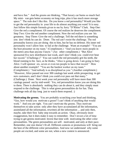and have fun." And the greens are thinking, "That luxury car burns so much fuel. My mini- van gets better economy on long trips, plus it has much more storage space." The reds don't like this. Do you know a red personality? Would you like to get the red personality in your life to do almost anything you want? It is easy. Just follow this simple formula given to me by Jerry "D'Rhino" Clark. Step One: Give the red a compliment. Of course the red realizes he deserves the compliment. Step Two: Give the red another compliment. Now the red realizes you see his greatness. Step Three: Give the red a challenge. Tell the red there is something you don't think he can do. Done. The red can't resist the challenge. The red personality knows you are doing this to him, but he has no defense. His inner red personality won't allow him to fail at the challenge. Want an example? "You are the best presenter on my team." (Compliment.) "And you know more people in the metro area than anyone I know." (An- other compliment.) "But Alice sponsored five new distributors last week, and I don't think you could ever beat her record." (Challenge.)" You can watch the red personality grit his teeth, the blood running to his face, as he thinks, "Alice is going down. I am going to bury Alice. I will sponsor six, seven or even ten people to have that record." How about another example? "You are the hardest worker on my team." (Compliment.) "And nobody is as disciplined as you." (Another compliment.) "However, Alice passed out over 300 catalogs last week while prospecting to get new customers, and I don't think you could ever pass out that many." (Challenge.) Done. Next week your red personality will have more than 300 catalogs passed out by mid-week! Yes, red personalities know you are doing this to them. There is absolutely nothing they can do about it, and they simply must respond to the challenge. This is what green personalities do for fun. They challenge reds all day long just to watch them respond. :)

**Motivating the greens.** You are probably scratching your head and thinking, "Gee, how would you motivate a green? I can't think of anything that would work." And you are right. You can't motivate the greens. They motivate themselves to take action only after they have accumulated all the information, assimilated all the information, rewritten all the information ... and only then, maybe, take their first baby step towards an action. Okay, obviously more exaggeration, but it does make it easy to remember. Don't invest a lot of time trying to get greens motivated. Invest that time with motivating the other color personalities. The green personalities are self- motivated, and only at their pace. Remember, one size doesn't fit all. Different contests or promotions will bring out the best of the different color personalities. And now we understand why some people are excited, and some are not, when a new contest is announced.